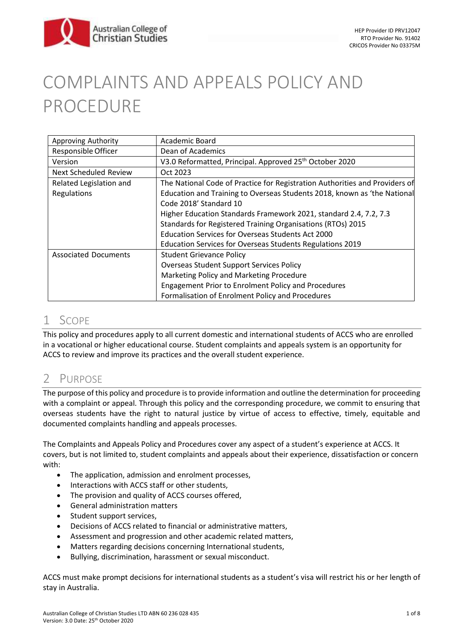

# COMPLAINTS AND APPEALS POLICY AND PROCEDURE

| Approving Authority          | Academic Board                                                              |
|------------------------------|-----------------------------------------------------------------------------|
| Responsible Officer          | Dean of Academics                                                           |
| Version                      | V3.0 Reformatted, Principal. Approved 25 <sup>th</sup> October 2020         |
| <b>Next Scheduled Review</b> | Oct 2023                                                                    |
| Related Legislation and      | The National Code of Practice for Registration Authorities and Providers of |
| Regulations                  | Education and Training to Overseas Students 2018, known as 'the National    |
|                              | Code 2018' Standard 10                                                      |
|                              | Higher Education Standards Framework 2021, standard 2.4, 7.2, 7.3           |
|                              | Standards for Registered Training Organisations (RTOs) 2015                 |
|                              | <b>Education Services for Overseas Students Act 2000</b>                    |
|                              | Education Services for Overseas Students Regulations 2019                   |
| <b>Associated Documents</b>  | <b>Student Grievance Policy</b>                                             |
|                              | <b>Overseas Student Support Services Policy</b>                             |
|                              | Marketing Policy and Marketing Procedure                                    |
|                              | <b>Engagement Prior to Enrolment Policy and Procedures</b>                  |
|                              | Formalisation of Enrolment Policy and Procedures                            |

### 1 SCOPE

This policy and procedures apply to all current domestic and international students of ACCS who are enrolled in a vocational or higher educational course. Student complaints and appeals system is an opportunity for ACCS to review and improve its practices and the overall student experience.

### 2 PURPOSE

The purpose of this policy and procedure is to provide information and outline the determination for proceeding with a complaint or appeal. Through this policy and the corresponding procedure, we commit to ensuring that overseas students have the right to natural justice by virtue of access to effective, timely, equitable and documented complaints handling and appeals processes.

The Complaints and Appeals Policy and Procedures cover any aspect of a student's experience at ACCS. It covers, but is not limited to, student complaints and appeals about their experience, dissatisfaction or concern with:

- The application, admission and enrolment processes,
- Interactions with ACCS staff or other students,
- The provision and quality of ACCS courses offered,
- General administration matters
- Student support services,
- Decisions of ACCS related to financial or administrative matters,
- Assessment and progression and other academic related matters,
- Matters regarding decisions concerning International students,
- Bullying, discrimination, harassment or sexual misconduct.

ACCS must make prompt decisions for international students as a student's visa will restrict his or her length of stay in Australia.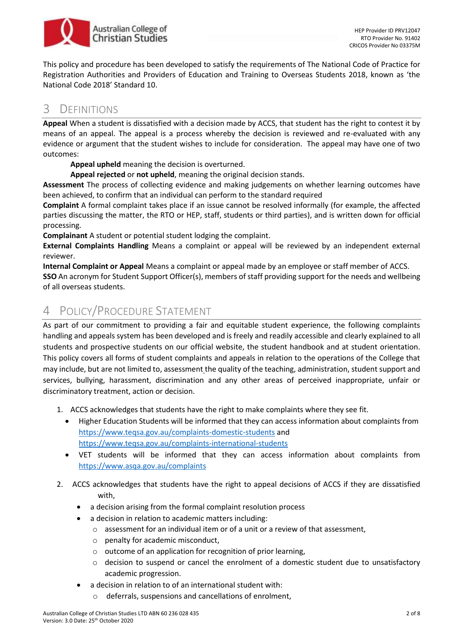

This policy and procedure has been developed to satisfy the requirements of The National Code of Practice for Registration Authorities and Providers of Education and Training to Overseas Students 2018, known as 'the National Code 2018' Standard 10.

### 3 DEFINITIONS

**Appeal** When a student is dissatisfied with a decision made by ACCS, that student has the right to contest it by means of an appeal. The appeal is a process whereby the decision is reviewed and re-evaluated with any evidence or argument that the student wishes to include for consideration. The appeal may have one of two outcomes:

**Appeal upheld** meaning the decision is overturned.

**Appeal rejected** or **not upheld**, meaning the original decision stands.

**Assessment** The process of collecting evidence and making judgements on whether learning outcomes have been achieved, to confirm that an individual can perform to the standard required

**Complaint** A formal complaint takes place if an issue cannot be resolved informally (for example, the affected parties discussing the matter, the RTO or HEP, staff, students or third parties), and is written down for official processing.

**Complainant** A student or potential student lodging the complaint.

**External Complaints Handling** Means a complaint or appeal will be reviewed by an independent external reviewer.

**Internal Complaint or Appeal** Means a complaint or appeal made by an employee or staff member of ACCS.

**SSO** An acronym for Student Support Officer(s), members of staff providing support for the needs and wellbeing of all overseas students.

### 4 POLICY/PROCEDURE STATEMENT

As part of our commitment to providing a fair and equitable student experience, the following complaints handling and appeals system has been developed and is freely and readily accessible and clearly explained to all students and prospective students on our official website, the student handbook and at student orientation. This policy covers all forms of student complaints and appeals in relation to the operations of the College that may include, but are not limited to, assessment the quality of the teaching, administration, student support and services, bullying, harassment, discrimination and any other areas of perceived inappropriate, unfair or discriminatory treatment, action or decision.

- 1. ACCS acknowledges that students have the right to make complaints where they see fit.
	- Higher Education Students will be informed that they can access information about complaints from <https://www.teqsa.gov.au/complaints-domestic-students> and <https://www.teqsa.gov.au/complaints-international-students>
	- VET students will be informed that they can access information about complaints from <https://www.asqa.gov.au/complaints>
- 2. ACCS acknowledges that students have the right to appeal decisions of ACCS if they are dissatisfied with,
	- a decision arising from the formal complaint resolution process
	- a decision in relation to academic matters including:
		- $\circ$  assessment for an individual item or of a unit or a review of that assessment,
		- o penalty for academic misconduct,
		- o outcome of an application for recognition of prior learning,
		- $\circ$  decision to suspend or cancel the enrolment of a domestic student due to unsatisfactory academic progression.
	- a decision in relation to of an international student with:
		- deferrals, suspensions and cancellations of enrolment,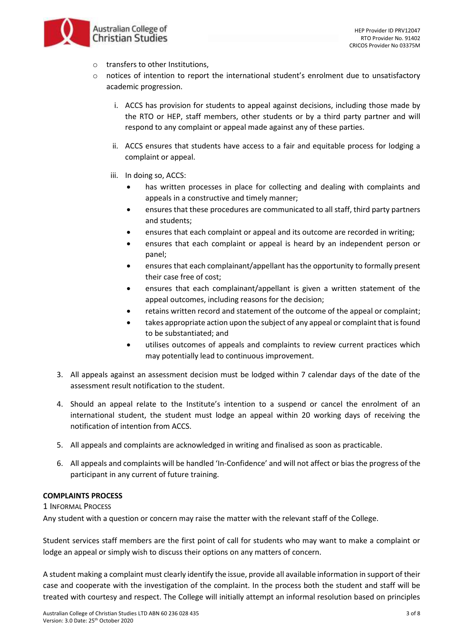

- o transfers to other Institutions,
- $\circ$  notices of intention to report the international student's enrolment due to unsatisfactory academic progression.
	- i. ACCS has provision for students to appeal against decisions, including those made by the RTO or HEP, staff members, other students or by a third party partner and will respond to any complaint or appeal made against any of these parties.
	- ii. ACCS ensures that students have access to a fair and equitable process for lodging a complaint or appeal.
	- iii. In doing so, ACCS:
		- has written processes in place for collecting and dealing with complaints and appeals in a constructive and timely manner;
		- ensures that these procedures are communicated to all staff, third party partners and students;
		- ensures that each complaint or appeal and its outcome are recorded in writing;
		- ensures that each complaint or appeal is heard by an independent person or panel;
		- ensures that each complainant/appellant has the opportunity to formally present their case free of cost;
		- ensures that each complainant/appellant is given a written statement of the appeal outcomes, including reasons for the decision;
		- retains written record and statement of the outcome of the appeal or complaint;
		- takes appropriate action upon the subject of any appeal or complaint that is found to be substantiated; and
		- utilises outcomes of appeals and complaints to review current practices which may potentially lead to continuous improvement.
- 3. All appeals against an assessment decision must be lodged within 7 calendar days of the date of the assessment result notification to the student.
- 4. Should an appeal relate to the Institute's intention to a suspend or cancel the enrolment of an international student, the student must lodge an appeal within 20 working days of receiving the notification of intention from ACCS.
- 5. All appeals and complaints are acknowledged in writing and finalised as soon as practicable.
- 6. All appeals and complaints will be handled 'In-Confidence' and will not affect or bias the progress of the participant in any current of future training.

#### **COMPLAINTS PROCESS**

1 INFORMAL PROCESS

Any student with a question or concern may raise the matter with the relevant staff of the College.

Student services staff members are the first point of call for students who may want to make a complaint or lodge an appeal or simply wish to discuss their options on any matters of concern.

A student making a complaint must clearly identify the issue, provide all available information in support of their case and cooperate with the investigation of the complaint. In the process both the student and staff will be treated with courtesy and respect. The College will initially attempt an informal resolution based on principles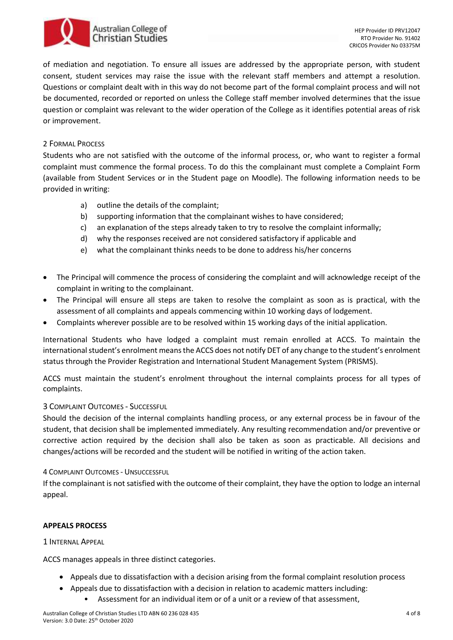# Australian College of **Christian Studies**

of mediation and negotiation. To ensure all issues are addressed by the appropriate person, with student consent, student services may raise the issue with the relevant staff members and attempt a resolution. Questions or complaint dealt with in this way do not become part of the formal complaint process and will not be documented, recorded or reported on unless the College staff member involved determines that the issue question or complaint was relevant to the wider operation of the College as it identifies potential areas of risk or improvement.

#### 2 FORMAL PROCESS

Students who are not satisfied with the outcome of the informal process, or, who want to register a formal complaint must commence the formal process. To do this the complainant must complete a Complaint Form (available from Student Services or in the Student page on Moodle). The following information needs to be provided in writing:

- a) outline the details of the complaint;
- b) supporting information that the complainant wishes to have considered;
- c) an explanation of the steps already taken to try to resolve the complaint informally;
- d) why the responses received are not considered satisfactory if applicable and
- e) what the complainant thinks needs to be done to address his/her concerns
- The Principal will commence the process of considering the complaint and will acknowledge receipt of the complaint in writing to the complainant.
- The Principal will ensure all steps are taken to resolve the complaint as soon as is practical, with the assessment of all complaints and appeals commencing within 10 working days of lodgement.
- Complaints wherever possible are to be resolved within 15 working days of the initial application.

International Students who have lodged a complaint must remain enrolled at ACCS. To maintain the international student's enrolment means the ACCS does not notify DET of any change to the student's enrolment status through the Provider Registration and International Student Management System (PRISMS).

ACCS must maintain the student's enrolment throughout the internal complaints process for all types of complaints.

#### 3 COMPLAINT OUTCOMES - SUCCESSFUL

Should the decision of the internal complaints handling process, or any external process be in favour of the student, that decision shall be implemented immediately. Any resulting recommendation and/or preventive or corrective action required by the decision shall also be taken as soon as practicable. All decisions and changes/actions will be recorded and the student will be notified in writing of the action taken.

#### 4 COMPLAINT OUTCOMES - UNSUCCESSFUL

If the complainant is not satisfied with the outcome of their complaint, they have the option to lodge an internal appeal.

#### **APPEALS PROCESS**

1 INTERNAL APPEAL

ACCS manages appeals in three distinct categories.

- Appeals due to dissatisfaction with a decision arising from the formal complaint resolution process
- Appeals due to dissatisfaction with a decision in relation to academic matters including:
	- Assessment for an individual item or of a unit or a review of that assessment,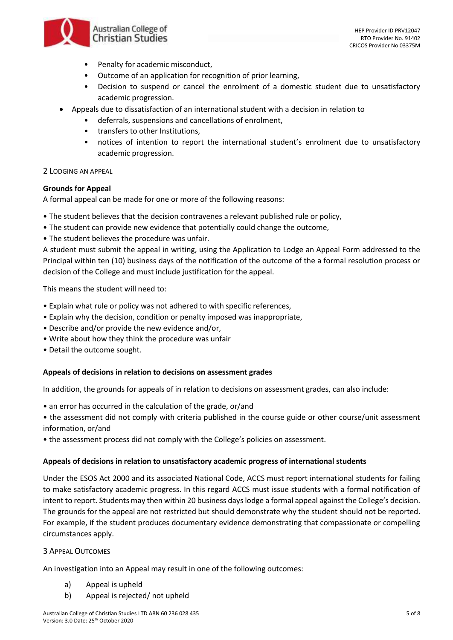

- Penalty for academic misconduct,
- Outcome of an application for recognition of prior learning,
- Decision to suspend or cancel the enrolment of a domestic student due to unsatisfactory academic progression.
- Appeals due to dissatisfaction of an international student with a decision in relation to
	- deferrals, suspensions and cancellations of enrolment,
	- transfers to other Institutions,
	- notices of intention to report the international student's enrolment due to unsatisfactory academic progression.

#### 2 LODGING AN APPEAL

#### **Grounds for Appeal**

A formal appeal can be made for one or more of the following reasons:

- The student believes that the decision contravenes a relevant published rule or policy,
- The student can provide new evidence that potentially could change the outcome,
- The student believes the procedure was unfair.

A student must submit the appeal in writing, using the Application to Lodge an Appeal Form addressed to the Principal within ten (10) business days of the notification of the outcome of the a formal resolution process or decision of the College and must include justification for the appeal.

This means the student will need to:

- Explain what rule or policy was not adhered to with specific references,
- Explain why the decision, condition or penalty imposed was inappropriate,
- Describe and/or provide the new evidence and/or,
- Write about how they think the procedure was unfair
- Detail the outcome sought.

#### **Appeals of decisions in relation to decisions on assessment grades**

In addition, the grounds for appeals of in relation to decisions on assessment grades, can also include:

- an error has occurred in the calculation of the grade, or/and
- the assessment did not comply with criteria published in the course guide or other course/unit assessment information, or/and
- the assessment process did not comply with the College's policies on assessment.

#### **Appeals of decisions in relation to unsatisfactory academic progress of international students**

Under the ESOS Act 2000 and its associated National Code, ACCS must report international students for failing to make satisfactory academic progress. In this regard ACCS must issue students with a formal notification of intent to report. Students may then within 20 business days lodge a formal appeal against the College's decision. The grounds for the appeal are not restricted but should demonstrate why the student should not be reported. For example, if the student produces documentary evidence demonstrating that compassionate or compelling circumstances apply.

#### 3 APPEAL OUTCOMES

An investigation into an Appeal may result in one of the following outcomes:

- a) Appeal is upheld
- b) Appeal is rejected/ not upheld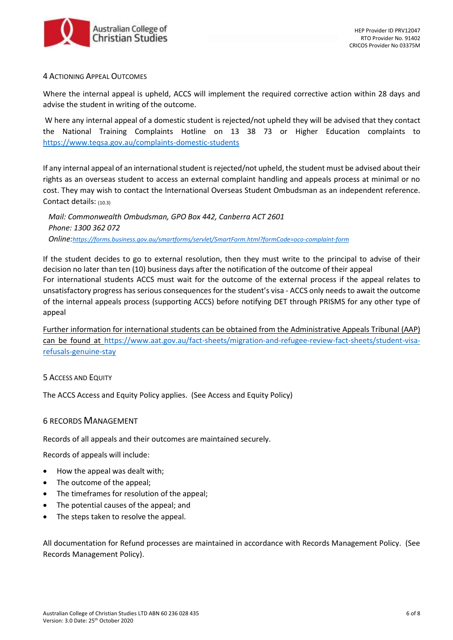

#### 4 ACTIONING APPEAL OUTCOMES

Where the internal appeal is upheld, ACCS will implement the required corrective action within 28 days and advise the student in writing of the outcome.

W here any internal appeal of a domestic student is rejected/not upheld they will be advised that they contact the National Training Complaints Hotline on 13 38 73 or Higher Education complaints to <https://www.teqsa.gov.au/complaints-domestic-students>

If any internal appeal of an international student is rejected/not upheld, the student must be advised about their rights as an overseas student to access an external complaint handling and appeals process at minimal or no cost. They may wish to contact the International Overseas Student Ombudsman as an independent reference. Contact details: (10.3)

*Mail: Commonwealth Ombudsman, GPO Box 442, Canberra ACT 2601 Phone: 1300 362 072 Online:<https://forms.business.gov.au/smartforms/servlet/SmartForm.html?formCode=oco-complaint-form>*

If the student decides to go to external resolution, then they must write to the principal to advise of their decision no later than ten (10) business days after the notification of the outcome of their appeal For international students ACCS must wait for the outcome of the external process if the appeal relates to unsatisfactory progress has serious consequences for the student's visa - ACCS only needs to await the outcome of the internal appeals process (supporting ACCS) before notifying DET through PRISMS for any other type of appeal

Further information for international students can be obtained from the Administrative Appeals Tribunal (AAP) can be found at [https://www.aat.gov.au/fact-sheets/migration-and-refugee-review-fact-sheets/student-visa](https://www.aat.gov.au/fact-sheets/migration-and-refugee-review-fact-sheets/student-visa-refusals-genuine-stay)[refusals-genuine-stay](https://www.aat.gov.au/fact-sheets/migration-and-refugee-review-fact-sheets/student-visa-refusals-genuine-stay)

#### 5 ACCESS AND EQUITY

The ACCS Access and Equity Policy applies. (See Access and Equity Policy)

#### 6 RECORDS MANAGEMENT

Records of all appeals and their outcomes are maintained securely.

Records of appeals will include:

- How the appeal was dealt with;
- The outcome of the appeal;
- The timeframes for resolution of the appeal;
- The potential causes of the appeal; and
- The steps taken to resolve the appeal.

All documentation for Refund processes are maintained in accordance with Records Management Policy. (See Records Management Policy).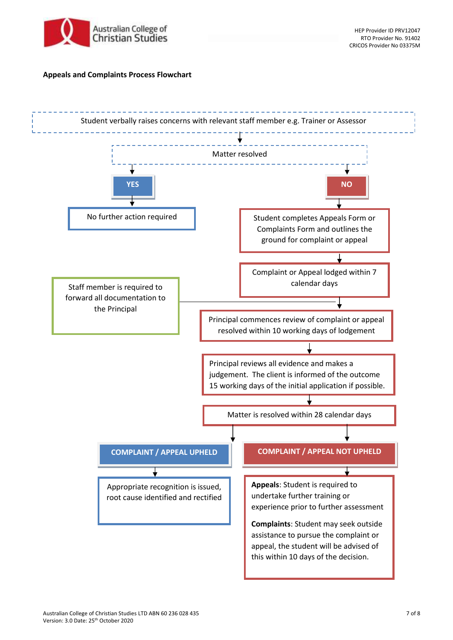

#### **Appeals and Complaints Process Flowchart**